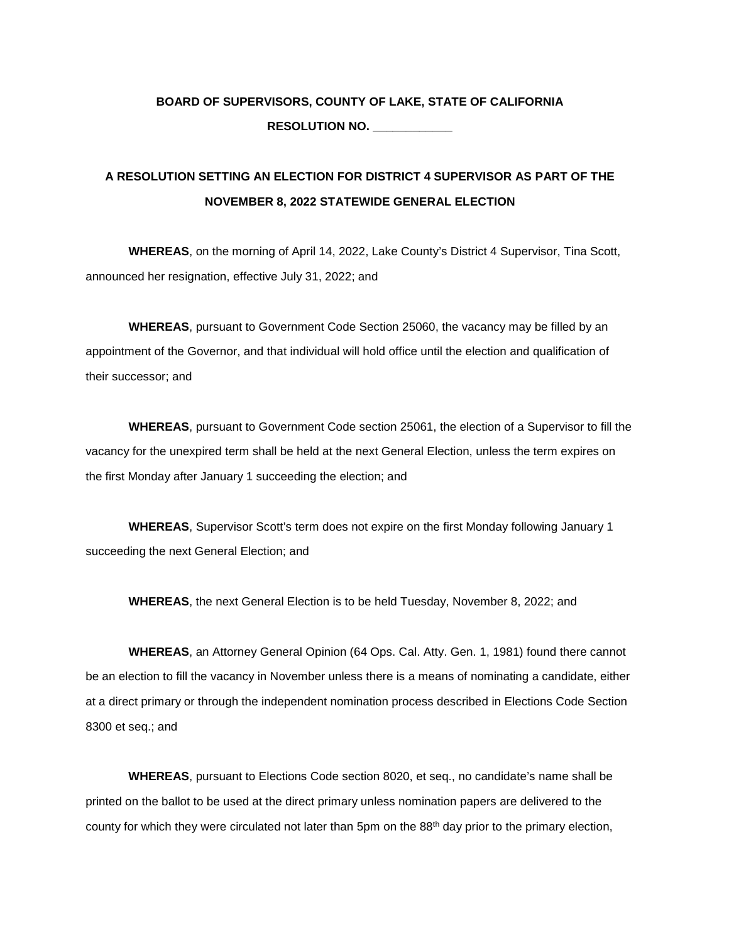## **BOARD OF SUPERVISORS, COUNTY OF LAKE, STATE OF CALIFORNIA RESOLUTION NO. \_\_\_\_\_\_\_\_\_\_\_\_**

# **A RESOLUTION SETTING AN ELECTION FOR DISTRICT 4 SUPERVISOR AS PART OF THE NOVEMBER 8, 2022 STATEWIDE GENERAL ELECTION**

**WHEREAS**, on the morning of April 14, 2022, Lake County's District 4 Supervisor, Tina Scott, announced her resignation, effective July 31, 2022; and

**WHEREAS**, pursuant to Government Code Section 25060, the vacancy may be filled by an appointment of the Governor, and that individual will hold office until the election and qualification of their successor; and

**WHEREAS**, pursuant to Government Code section 25061, the election of a Supervisor to fill the vacancy for the unexpired term shall be held at the next General Election, unless the term expires on the first Monday after January 1 succeeding the election; and

**WHEREAS**, Supervisor Scott's term does not expire on the first Monday following January 1 succeeding the next General Election; and

**WHEREAS**, the next General Election is to be held Tuesday, November 8, 2022; and

**WHEREAS**, an Attorney General Opinion (64 Ops. Cal. Atty. Gen. 1, 1981) found there cannot be an election to fill the vacancy in November unless there is a means of nominating a candidate, either at a direct primary or through the independent nomination process described in Elections Code Section 8300 et seq.; and

**WHEREAS**, pursuant to Elections Code section 8020, et seq., no candidate's name shall be printed on the ballot to be used at the direct primary unless nomination papers are delivered to the county for which they were circulated not later than 5pm on the 88th day prior to the primary election,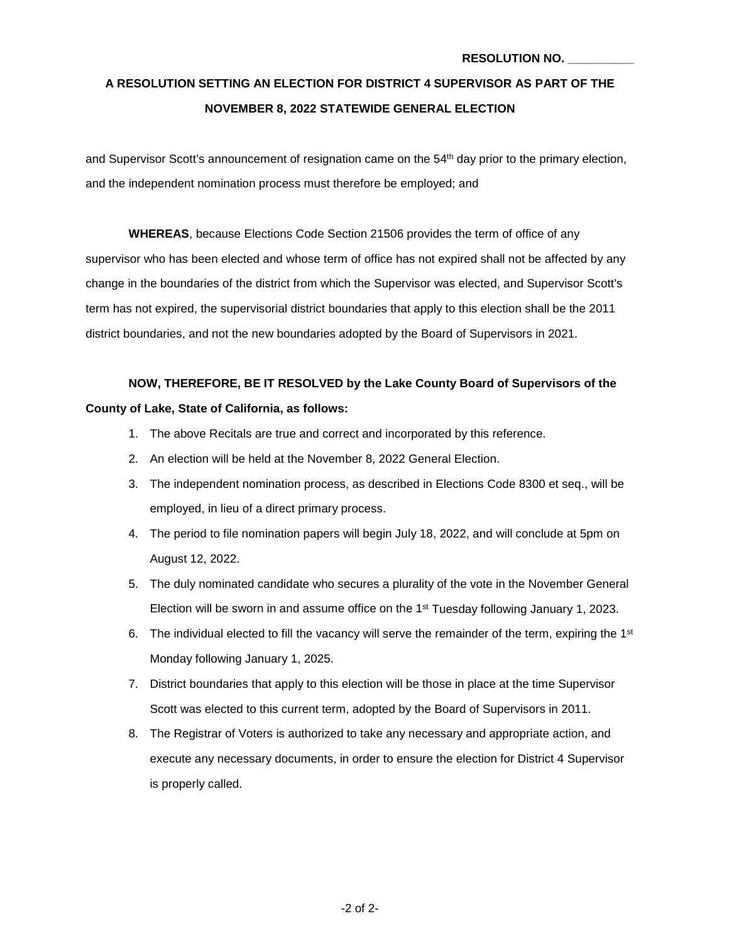# **A RESOLUTION SETTING AN ELECTION FOR DISTRICT 4 SUPERVISOR AS PART OF THE NOVEMBER 8, 2022 STATEWIDE GENERAL ELECTION**

and Supervisor Scott's announcement of resignation came on the 54<sup>th</sup> day prior to the primary election, and the independent nomination process must therefore be employed; and

**WHEREAS**, because Elections Code Section 21506 provides the term of office of any supervisor who has been elected and whose term of office has not expired shall not be affected by any change in the boundaries of the district from which the Supervisor was elected, and Supervisor Scott's term has not expired, the supervisorial district boundaries that apply to this election shall be the 2011 district boundaries, and not the new boundaries adopted by the Board of Supervisors in 2021.

**NOW, THEREFORE, BE IT RESOLVED by the Lake County Board of Supervisors of the County of Lake, State of California, as follows:**

- 1. The above Recitals are true and correct and incorporated by this reference.
- 2. An election will be held at the November 8, 2022 General Election.
- 3. The independent nomination process, as described in Elections Code 8300 et seq., will be employed, in lieu of a direct primary process.
- 4. The period to file nomination papers will begin July 18, 2022, and will conclude at 5pm on August 12, 2022.
- 5. The duly nominated candidate who secures a plurality of the vote in the November General Election will be sworn in and assume office on the 1st Tuesday following January 1, 2023.
- 6. The individual elected to fill the vacancy will serve the remainder of the term, expiring the  $1<sup>st</sup>$ Monday following January 1, 2025.
- 7. District boundaries that apply to this election will be those in place at the time Supervisor Scott was elected to this current term, adopted by the Board of Supervisors in 2011.
- 8. The Registrar of Voters is authorized to take any necessary and appropriate action, and execute any necessary documents, in order to ensure the election for District 4 Supervisor is properly called.